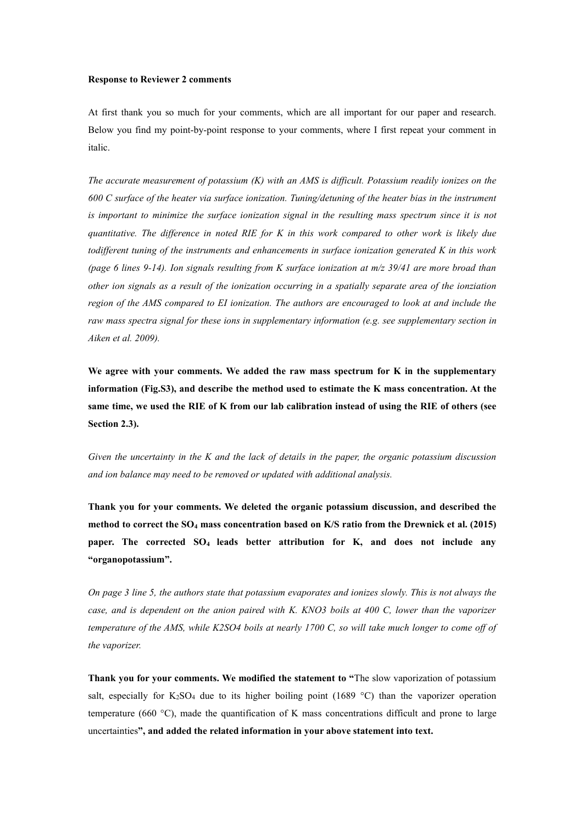## **Response to Reviewer 2 comments**

At first thank you so much for your comments, which are all important for our paper and research. Below you find my point-by-point response to your comments, where I first repeat your comment in italic.

*The accurate measurement of potassium (K) with an AMS is dif icult. Potassium readily ionizes on the 600 C surface of the heater via surface ionization. Tuning/detuning of the heater bias in the instrument is important to minimize the surface ionization signal in the resulting mass spectrum since it is not* quantitative. The difference in noted RIE for K in this work compared to other work is likely due *todif erent tuning of the instruments and enhancements in surface ionization generated K in this work* (page 6 lines 9-14). Ion signals resulting from K surface ionization at  $m/z$  39/41 are more broad than other ion signals as a result of the ionization occurring in a spatially separate area of the ionziation *region of the AMS compared to EI ionization. The authors are encouraged to look atand include the raw mass spectra signal for these ions in supplementary information (e.g. see supplementary section in Aiken et al. 2009).*

**We agree with your comments. We added the raw mass spectrum for K in the supplementary information (Fig.S3), and describe the method used to estimate the K mass concentration. At the** same time, we used the RIE of K from our lab calibration instead of using the RIE of others (see **Section 2.3).**

*Given the uncertainty in the K and the lack of details in the paper, the organic potassium discussion and ion balance may need to be removed or updated with additional analysis.*

**Thank you for your comments. We deleted the organic potassium discussion, and described the method to correct the SO<sup>4</sup> mass concentration based on K/S ratio from the Drewnick et al. (2015) paper. The corrected SO<sup>4</sup> leads better attribution for K, and does not include any "organopotassium".**

On page 3 line 5, the authors state that potassium evaporates and ionizes slowly. This is not always the case, and is dependent on the anion paired with K. KNO3 boils at 400 C. lower than the vaporizer temperature of the AMS, while K2SO4 boils at nearly 1700 C, so will take much longer to come off of *the vaporizer.*

**Thank you for your comments. We modified the statement to "**The slow vaporization of potassium salt, especially for  $K_2SO_4$  due to its higher boiling point (1689 °C) than the vaporizer operation temperature (660 °C), made the quantification of K mass concentrations difficult and prone to large uncertainties**", and added the related information in your above statement into text.**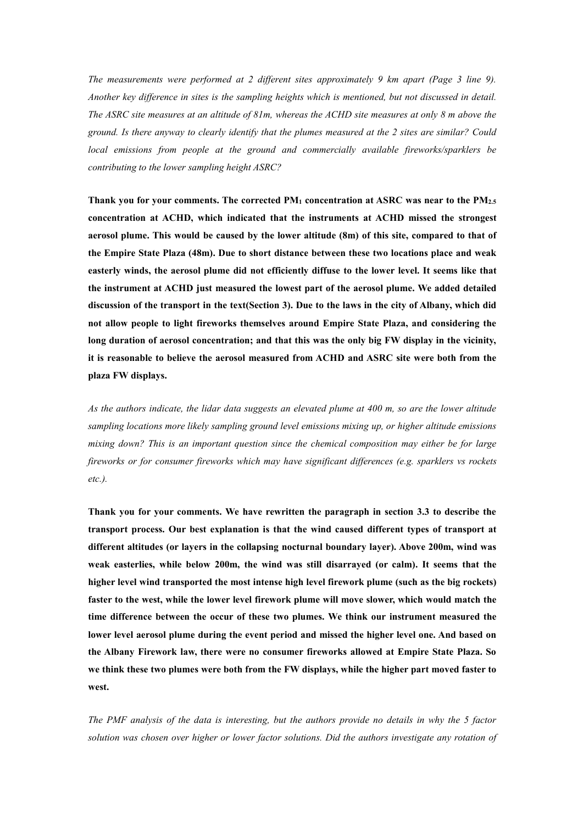*The measurements were performed at 2 dif erent sites approximately 9 km apart (Page 3 line 9). Another key dif erence in sitesis the sampling heights which is mentioned, but not discussed in detail.* The ASRC site measures at an altitude of 81m, whereas the ACHD site measures at only 8 m above the *ground. Is there anyway to clearly identify that the plumes measured at the 2 sitesare similar? Could local emissions from people at the ground and commercially available fireworks/sparklers be contributing to the lower sampling height ASRC?*

**Thank you for your comments. The corrected PM<sup>1</sup> concentration at ASRC was near to the PM2.5 concentration at ACHD, which indicated that the instruments at ACHD missed the strongest aerosol plume. This would be caused by the lower altitude (8m) of this site, compared to that of the Empire State Plaza (48m). Due to short distance between these two locations place and weak easterly winds, the aerosol plume did not efficiently diffuse to the lower level. It seems like that the instrument at ACHD just measured the lowest part of the aerosol plume. We added detailed** discussion of the transport in the text(Section 3). Due to the laws in the city of Albany, which did **not allow people to light fireworks themselves around Empire State Plaza, and considering the** long duration of aerosol concentration; and that this was the only big FW display in the vicinity,<br>it is reasonable to believe the aerosol measured from ACHD and ASRC site were both from the **plaza FW displays.**

As the authors indicate, the lidar data suggests an elevated plume at 400 m, so are the lower altitude *sampling locations more likely sampling ground level emissions mixing up, or higher altitude emissions mixing down? Thisis an important question since the chemical composition may either be for large fireworks or for consumer fireworks which may have significant dif erences (e.g. sparklers vs rockets etc.).*

**Thank you for your comments. We have rewritten the paragraph in section 3.3 to describe the transport process. Our bestexplanation is that the wind caused different types of transport at different altitudes (or layers in the collapsing nocturnal boundary layer). Above 200m, wind was weak easterlies, while below 200m, the wind was still disarrayed (or calm). It seems that the higher level wind transported the most intense high level firework plume (such as the big rockets) faster to the west, while the lower level firework plume will move slower, which would match the time difference between the occur of these two plumes. We think our instrument measured the lower level aerosol plume during the event period and missed the higher level one. And based on the Albany Firework law, there were no consumer fireworks allowed at Empire State Plaza. So we think these two plumes were both from the FW displays, while the higher partmoved faster to west.**

The PMF analysis of the data is interesting, but the authors provide no details in why the 5 factor *solution was chosen over higher or lower factor solutions. Did the authors investigate any rotation of*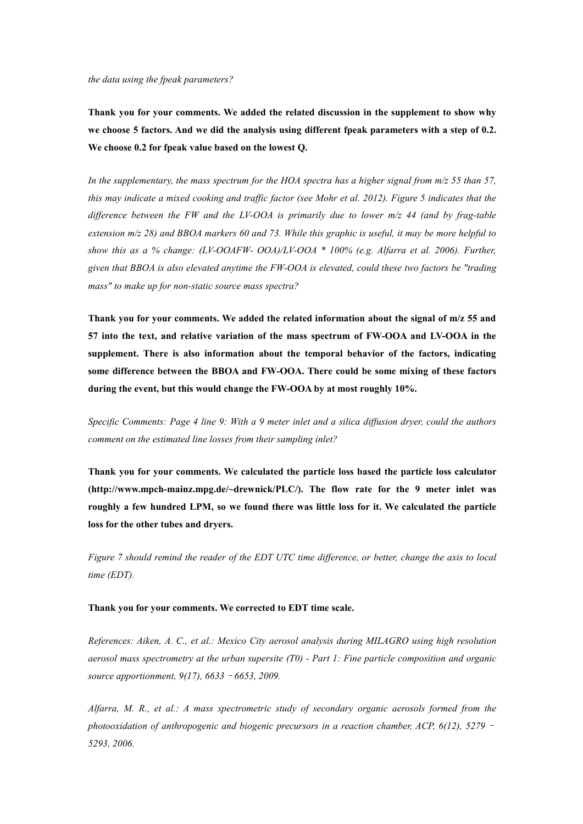*the data using the fpeak parameters?*

**Thank you for your comments. We added the related discussion in the supplement to show why** we choose 5 factors. And we did the analysis using different fpeak parameters with a step of 0.2.<br>We choose 0.2 for fpeak value based on the lowest O.

In the supplementary, the mass spectrum for the HOA spectra has a higher signal from  $m/z$  55 than 57, this may indicate a mixed cooking and traffic factor (see Mohr et al. 2012). Figure 5 indicates that the *dif erence between the FW and the LV-OOA is primarily due to lower m/z 44 (and by frag-table* extension  $m/z$  28) and BBOA markers 60 and 73. While this graphic is useful, it may be more helpful to *show this as a % change: (LV-OOAFW- OOA)/LV-OOA \* 100% (e.g. Alfarra et al. 2006).Further, given that BBOA is also elevated anytime the FW-OOA is elevated, could these two factors be "trading mass" to make up for non-static source mass spectra?*

**Thank you for your comments. We added the related information about the signal of m/z 55 and 57 into the text, and relative variation of the mass spectrum of FW-OOA and LV-OOA in the supplement. There is also information about the temporal behavior of the factors,indicating some difference between the BBOA and FW-OOA. There could be some mixing of these factors during the event, but this would change the FW-OOA by at most roughly 10%.**

Specific Comments: Page 4 line 9: With a 9 meter inlet and a silica diffusion dryer, could the authors *comment on the estimated line losses from their sampling inlet?*

**Thank you for your comments. We calculated the particle loss based the particle loss calculator (http://www.mpch-mainz.mpg.de/~drewnick/PLC/). The flow rate for the 9 meter inlet was roughly a few hundred LPM, so we found there was little loss for it. We calculated the particle loss for the other tubes and dryers.**

Figure 7 should remind the reader of the EDT UTC time difference, or better, change the axis to local *time (EDT).*

## **Thank you for your comments. We corrected to EDT time scale.**

*References: Aiken, A. C., et al.: Mexico City aerosol analysis during MILAGRO using high resolution aerosol mass spectrometry at the urban supersite (T0)- Part 1: Fine particle composition and organic source apportionment, 9(17), 6633*–*6653, 2009.*

*Alfarra, M. R., et al.: A mass spectrometric study of secondary organic aerosols formed from the photooxidation of anthropogenic and biogenic precursors in a reaction chamber, ACP, 6(12), 5279*– *5293, 2006.*